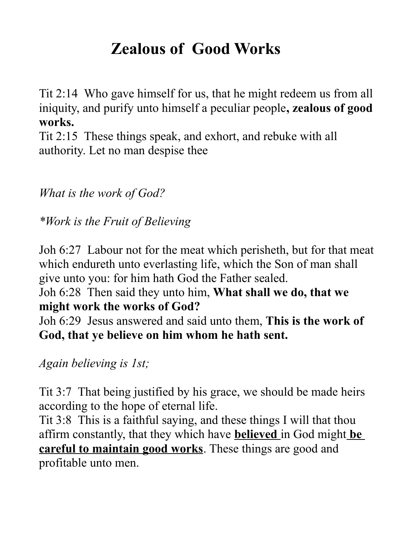# **Zealous of Good Works**

Tit 2:14 Who gave himself for us, that he might redeem us from all iniquity, and purify unto himself a peculiar people**, zealous of good works.** 

Tit 2:15 These things speak, and exhort, and rebuke with all authority. Let no man despise thee

#### *What is the work of God?*

*\*Work is the Fruit of Believing*

Joh 6:27 Labour not for the meat which perisheth, but for that meat which endureth unto everlasting life, which the Son of man shall give unto you: for him hath God the Father sealed.

Joh 6:28 Then said they unto him, **What shall we do, that we might work the works of God?** 

Joh 6:29 Jesus answered and said unto them, **This is the work of God, that ye believe on him whom he hath sent.** 

*Again believing is 1st;*

Tit 3:7 That being justified by his grace, we should be made heirs according to the hope of eternal life.

Tit 3:8 This is a faithful saying, and these things I will that thou affirm constantly, that they which have **believed** in God might **be careful to maintain good works**. These things are good and profitable unto men.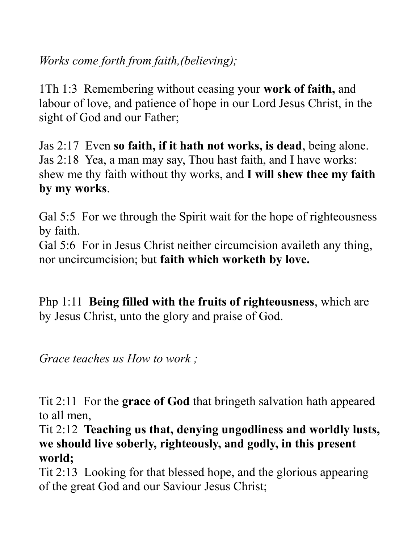# *Works come forth from faith,(believing);*

1Th 1:3 Remembering without ceasing your **work of faith,** and labour of love, and patience of hope in our Lord Jesus Christ, in the sight of God and our Father;

Jas 2:17 Even **so faith, if it hath not works, is dead**, being alone. Jas 2:18 Yea, a man may say, Thou hast faith, and I have works: shew me thy faith without thy works, and **I will shew thee my faith by my works**.

Gal 5:5 For we through the Spirit wait for the hope of righteousness by faith.

Gal 5:6 For in Jesus Christ neither circumcision availeth any thing, nor uncircumcision; but **faith which worketh by love.**

Php 1:11 **Being filled with the fruits of righteousness**, which are by Jesus Christ, unto the glory and praise of God.

*Grace teaches us How to work ;*

Tit 2:11 For the **grace of God** that bringeth salvation hath appeared to all men,

Tit 2:12 **Teaching us that, denying ungodliness and worldly lusts, we should live soberly, righteously, and godly, in this present world;** 

Tit 2:13 Looking for that blessed hope, and the glorious appearing of the great God and our Saviour Jesus Christ;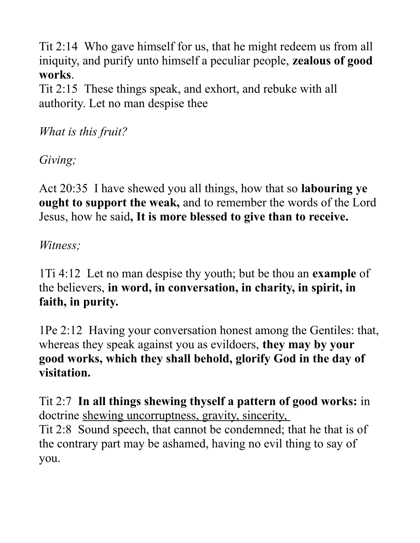Tit 2:14 Who gave himself for us, that he might redeem us from all iniquity, and purify unto himself a peculiar people, **zealous of good works**.

Tit 2:15 These things speak, and exhort, and rebuke with all authority. Let no man despise thee

*What is this fruit?*

*Giving;*

Act 20:35 I have shewed you all things, how that so **labouring ye ought to support the weak,** and to remember the words of the Lord Jesus, how he said**, It is more blessed to give than to receive.**

*Witness;*

1Ti 4:12 Let no man despise thy youth; but be thou an **example** of the believers, **in word, in conversation, in charity, in spirit, in faith, in purity.** 

1Pe 2:12 Having your conversation honest among the Gentiles: that, whereas they speak against you as evildoers, **they may by your good works, which they shall behold, glorify God in the day of visitation.** 

Tit 2:7 **In all things shewing thyself a pattern of good works:** in doctrine shewing uncorruptness, gravity, sincerity, Tit 2:8 Sound speech, that cannot be condemned; that he that is of the contrary part may be ashamed, having no evil thing to say of you.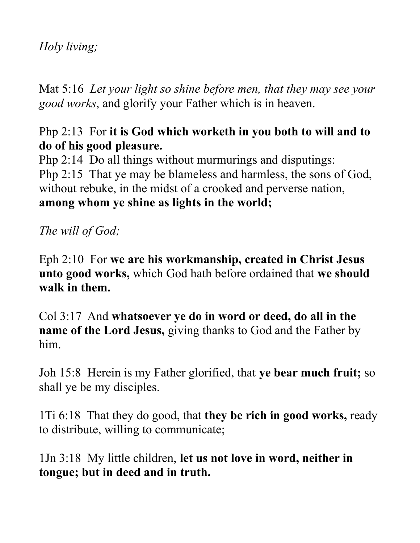*Holy living;*

Mat 5:16 *Let your light so shine before men, that they may see your good works*, and glorify your Father which is in heaven.

## Php 2:13 For **it is God which worketh in you both to will and to do of his good pleasure.**

Php 2:14 Do all things without murmurings and disputings: Php 2:15 That ye may be blameless and harmless, the sons of God, without rebuke, in the midst of a crooked and perverse nation, **among whom ye shine as lights in the world;** 

*The will of God;*

Eph 2:10 For **we are his workmanship, created in Christ Jesus unto good works,** which God hath before ordained that **we should walk in them.** 

Col 3:17 And **whatsoever ye do in word or deed, do all in the name of the Lord Jesus,** giving thanks to God and the Father by him.

Joh 15:8 Herein is my Father glorified, that **ye bear much fruit;** so shall ye be my disciples.

1Ti 6:18 That they do good, that **they be rich in good works,** ready to distribute, willing to communicate;

1Jn 3:18 My little children, **let us not love in word, neither in tongue; but in deed and in truth.**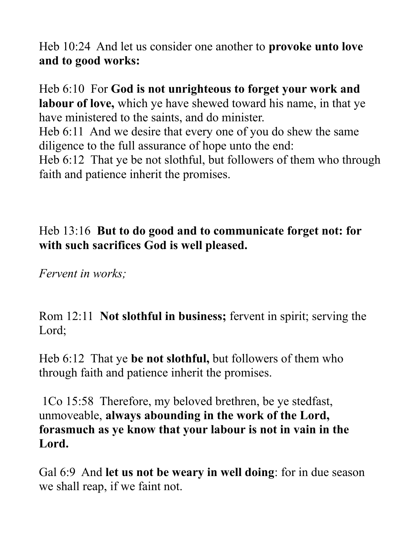Heb 10:24 And let us consider one another to **provoke unto love and to good works:** 

Heb 6:10 For **God is not unrighteous to forget your work and labour of love,** which ye have shewed toward his name, in that ye have ministered to the saints, and do minister. Heb 6:11 And we desire that every one of you do shew the same

diligence to the full assurance of hope unto the end:

Heb 6:12 That ye be not slothful, but followers of them who through faith and patience inherit the promises.

# Heb 13:16 **But to do good and to communicate forget not: for with such sacrifices God is well pleased.**

*Fervent in works;*

Rom 12:11 **Not slothful in business;** fervent in spirit; serving the Lord;

Heb 6:12 That ye **be not slothful,** but followers of them who through faith and patience inherit the promises.

1Co 15:58 Therefore, my beloved brethren, be ye stedfast, unmoveable, **always abounding in the work of the Lord, forasmuch as ye know that your labour is not in vain in the Lord.** 

Gal 6:9 And **let us not be weary in well doing**: for in due season we shall reap, if we faint not.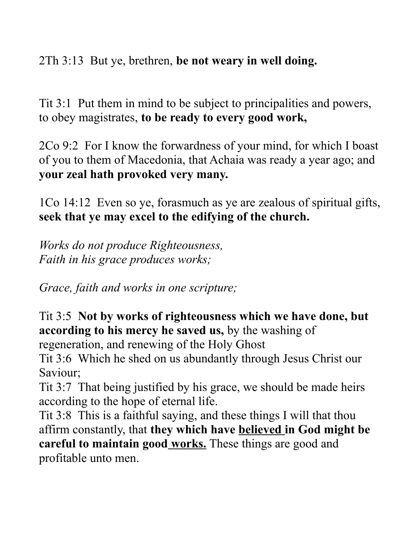2Th 3:13 But ye, brethren, **be not weary in well doing.**

Tit 3:1 Put them in mind to be subject to principalities and powers, to obey magistrates, **to be ready to every good work,** 

2Co 9:2 For I know the forwardness of your mind, for which I boast of you to them of Macedonia, that Achaia was ready a year ago; and **your zeal hath provoked very many.** 

1Co 14:12 Even so ye, forasmuch as ye are zealous of spiritual gifts, **seek that ye may excel to the edifying of the church.** 

*Works do not produce Righteousness, Faith in his grace produces works;*

*Grace, faith and works in one scripture;*

Tit 3:5 **Not by works of righteousness which we have done, but according to his mercy he saved us,** by the washing of

regeneration, and renewing of the Holy Ghost

Tit 3:6 Which he shed on us abundantly through Jesus Christ our Saviour;

Tit 3:7 That being justified by his grace, we should be made heirs according to the hope of eternal life.

Tit 3:8 This is a faithful saying, and these things I will that thou affirm constantly, that **they which have believed in God might be careful to maintain good works.** These things are good and profitable unto men.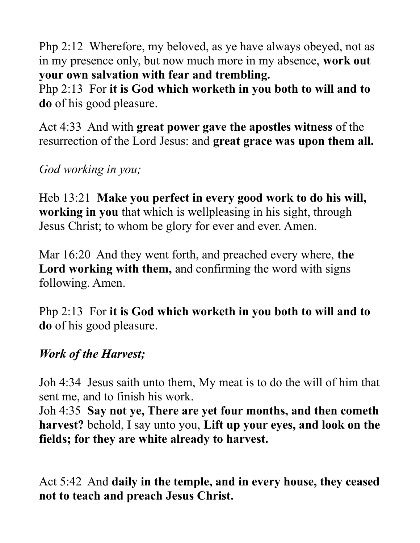Php 2:12 Wherefore, my beloved, as ye have always obeyed, not as in my presence only, but now much more in my absence, **work out your own salvation with fear and trembling.** 

Php 2:13 For **it is God which worketh in you both to will and to do** of his good pleasure.

Act 4:33 And with **great power gave the apostles witness** of the resurrection of the Lord Jesus: and **great grace was upon them all.** 

*God working in you;*

Heb 13:21 **Make you perfect in every good work to do his will, working in you** that which is wellpleasing in his sight, through Jesus Christ; to whom be glory for ever and ever. Amen.

Mar 16:20 And they went forth, and preached every where, **the Lord working with them,** and confirming the word with signs following. Amen.

Php 2:13 For **it is God which worketh in you both to will and to do** of his good pleasure.

## *Work of the Harvest;*

Joh 4:34 Jesus saith unto them, My meat is to do the will of him that sent me, and to finish his work.

Joh 4:35 **Say not ye, There are yet four months, and then cometh harvest?** behold, I say unto you, **Lift up your eyes, and look on the fields; for they are white already to harvest.** 

Act 5:42 And **daily in the temple, and in every house, they ceased not to teach and preach Jesus Christ.**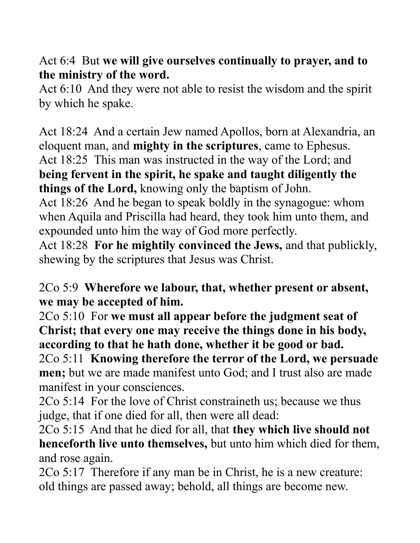Act 6:4 But **we will give ourselves continually to prayer, and to the ministry of the word.** 

Act 6:10 And they were not able to resist the wisdom and the spirit by which he spake.

Act 18:24 And a certain Jew named Apollos, born at Alexandria, an eloquent man, and **mighty in the scriptures**, came to Ephesus. Act 18:25 This man was instructed in the way of the Lord; and **being fervent in the spirit, he spake and taught diligently the things of the Lord,** knowing only the baptism of John.

Act 18:26 And he began to speak boldly in the synagogue: whom when Aquila and Priscilla had heard, they took him unto them, and expounded unto him the way of God more perfectly.

Act 18:28 **For he mightily convinced the Jews,** and that publickly, shewing by the scriptures that Jesus was Christ.

2Co 5:9 **Wherefore we labour, that, whether present or absent, we may be accepted of him.** 

2Co 5:10 For **we must all appear before the judgment seat of Christ; that every one may receive the things done in his body, according to that he hath done, whether it be good or bad.**  2Co 5:11 **Knowing therefore the terror of the Lord, we persuade men;** but we are made manifest unto God; and I trust also are made manifest in your consciences.

2Co 5:14 For the love of Christ constraineth us; because we thus judge, that if one died for all, then were all dead:

2Co 5:15 And that he died for all, that **they which live should not henceforth live unto themselves,** but unto him which died for them, and rose again.

2Co 5:17 Therefore if any man be in Christ, he is a new creature: old things are passed away; behold, all things are become new.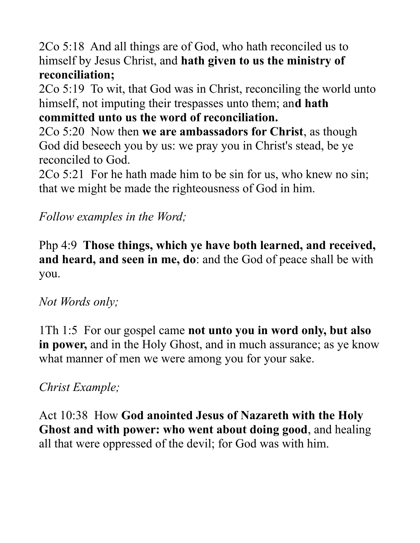2Co 5:18 And all things are of God, who hath reconciled us to himself by Jesus Christ, and **hath given to us the ministry of reconciliation;** 

2Co 5:19 To wit, that God was in Christ, reconciling the world unto himself, not imputing their trespasses unto them; an**d hath committed unto us the word of reconciliation.** 

2Co 5:20 Now then **we are ambassadors for Christ**, as though God did beseech you by us: we pray you in Christ's stead, be ye reconciled to God.

2Co 5:21 For he hath made him to be sin for us, who knew no sin; that we might be made the righteousness of God in him.

*Follow examples in the Word;*

Php 4:9 **Those things, which ye have both learned, and received, and heard, and seen in me, do**: and the God of peace shall be with you.

# *Not Words only;*

1Th 1:5 For our gospel came **not unto you in word only, but also in power,** and in the Holy Ghost, and in much assurance; as ye know what manner of men we were among you for your sake.

# *Christ Example;*

Act 10:38 How **God anointed Jesus of Nazareth with the Holy Ghost and with power: who went about doing good**, and healing all that were oppressed of the devil; for God was with him.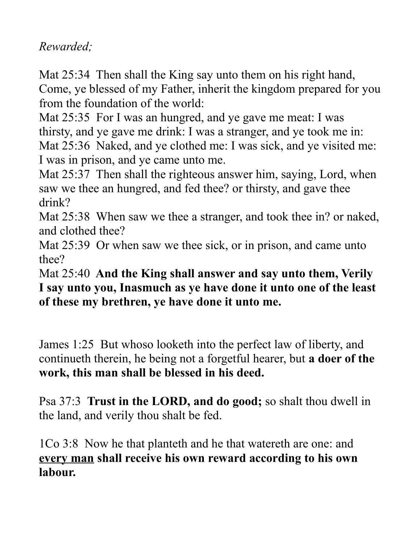*Rewarded;*

Mat 25:34 Then shall the King say unto them on his right hand, Come, ye blessed of my Father, inherit the kingdom prepared for you from the foundation of the world:

Mat 25:35 For I was an hungred, and ye gave me meat: I was thirsty, and ye gave me drink: I was a stranger, and ye took me in: Mat 25:36 Naked, and ye clothed me: I was sick, and ye visited me: I was in prison, and ye came unto me.

Mat 25:37 Then shall the righteous answer him, saying, Lord, when saw we thee an hungred, and fed thee? or thirsty, and gave thee drink?

Mat 25:38 When saw we thee a stranger, and took thee in? or naked, and clothed thee?

Mat 25:39 Or when saw we thee sick, or in prison, and came unto thee?

Mat 25:40 **And the King shall answer and say unto them, Verily I say unto you, Inasmuch as ye have done it unto one of the least of these my brethren, ye have done it unto me.** 

James 1:25 But whoso looketh into the perfect law of liberty, and continueth therein, he being not a forgetful hearer, but **a doer of the work, this man shall be blessed in his deed.** 

Psa 37:3 **Trust in the LORD, and do good;** so shalt thou dwell in the land, and verily thou shalt be fed.

1Co 3:8 Now he that planteth and he that watereth are one: and **every man shall receive his own reward according to his own labour.**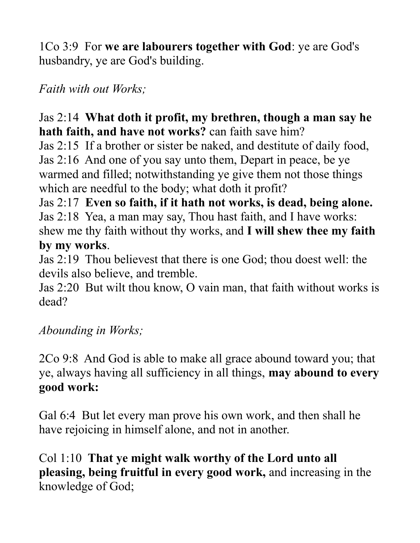1Co 3:9 For **we are labourers together with God**: ye are God's husbandry, ye are God's building.

*Faith with out Works;*

## Jas 2:14 **What doth it profit, my brethren, though a man say he hath faith, and have not works?** can faith save him?

Jas 2:15 If a brother or sister be naked, and destitute of daily food, Jas 2:16 And one of you say unto them, Depart in peace, be ye warmed and filled; notwithstanding ye give them not those things which are needful to the body; what doth it profit?

Jas 2:17 **Even so faith, if it hath not works, is dead, being alone.**  Jas 2:18 Yea, a man may say, Thou hast faith, and I have works: shew me thy faith without thy works, and **I will shew thee my faith by my works**.

Jas 2:19 Thou believest that there is one God; thou doest well: the devils also believe, and tremble.

Jas 2:20 But wilt thou know, O vain man, that faith without works is dead?

*Abounding in Works;*

2Co 9:8 And God is able to make all grace abound toward you; that ye, always having all sufficiency in all things, **may abound to every good work:** 

Gal 6:4 But let every man prove his own work, and then shall he have rejoicing in himself alone, and not in another.

Col 1:10 **That ye might walk worthy of the Lord unto all pleasing, being fruitful in every good work,** and increasing in the knowledge of God;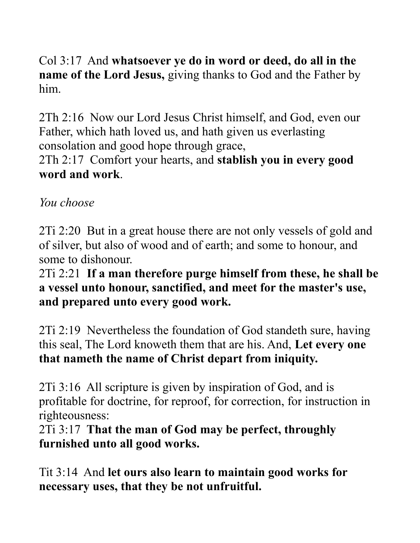## Col 3:17 And **whatsoever ye do in word or deed, do all in the name of the Lord Jesus,** giving thanks to God and the Father by him.

2Th 2:16 Now our Lord Jesus Christ himself, and God, even our Father, which hath loved us, and hath given us everlasting consolation and good hope through grace,

2Th 2:17 Comfort your hearts, and **stablish you in every good word and work**.

*You choose*

2Ti 2:20 But in a great house there are not only vessels of gold and of silver, but also of wood and of earth; and some to honour, and some to dishonour.

2Ti 2:21 **If a man therefore purge himself from these, he shall be a vessel unto honour, sanctified, and meet for the master's use, and prepared unto every good work.** 

2Ti 2:19 Nevertheless the foundation of God standeth sure, having this seal, The Lord knoweth them that are his. And, **Let every one that nameth the name of Christ depart from iniquity.** 

2Ti 3:16 All scripture is given by inspiration of God, and is profitable for doctrine, for reproof, for correction, for instruction in righteousness:

2Ti 3:17 **That the man of God may be perfect, throughly furnished unto all good works.** 

Tit 3:14 And **let ours also learn to maintain good works for necessary uses, that they be not unfruitful.**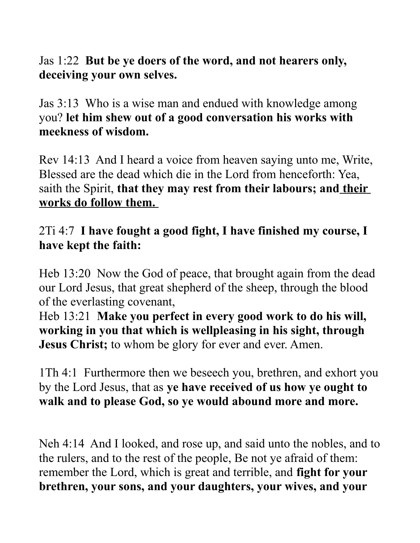#### Jas 1:22 **But be ye doers of the word, and not hearers only, deceiving your own selves.**

Jas 3:13 Who is a wise man and endued with knowledge among you? **let him shew out of a good conversation his works with meekness of wisdom.** 

Rev 14:13 And I heard a voice from heaven saying unto me, Write, Blessed are the dead which die in the Lord from henceforth: Yea, saith the Spirit, **that they may rest from their labours; and their works do follow them.** 

## 2Ti 4:7 **I have fought a good fight, I have finished my course, I have kept the faith:**

Heb 13:20 Now the God of peace, that brought again from the dead our Lord Jesus, that great shepherd of the sheep, through the blood of the everlasting covenant,

Heb 13:21 **Make you perfect in every good work to do his will, working in you that which is wellpleasing in his sight, through Jesus Christ;** to whom be glory for ever and ever. Amen.

1Th 4:1 Furthermore then we beseech you, brethren, and exhort you by the Lord Jesus, that as **ye have received of us how ye ought to walk and to please God, so ye would abound more and more.** 

Neh 4:14 And I looked, and rose up, and said unto the nobles, and to the rulers, and to the rest of the people, Be not ye afraid of them: remember the Lord, which is great and terrible, and **fight for your brethren, your sons, and your daughters, your wives, and your**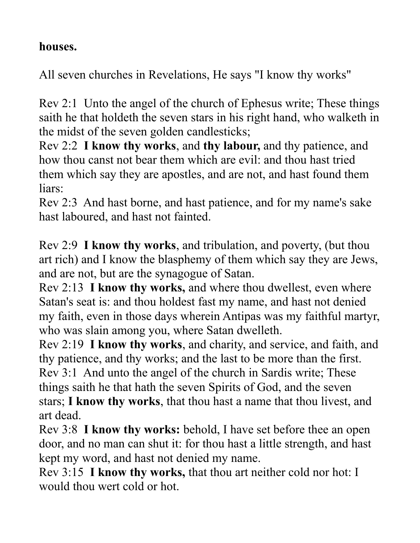#### **houses.**

All seven churches in Revelations, He says "I know thy works"

Rev 2:1 Unto the angel of the church of Ephesus write; These things saith he that holdeth the seven stars in his right hand, who walketh in the midst of the seven golden candlesticks;

Rev 2:2 **I know thy works**, and **thy labour,** and thy patience, and how thou canst not bear them which are evil: and thou hast tried them which say they are apostles, and are not, and hast found them liars:

Rev 2:3 And hast borne, and hast patience, and for my name's sake hast laboured, and hast not fainted.

Rev 2:9 **I know thy works**, and tribulation, and poverty, (but thou art rich) and I know the blasphemy of them which say they are Jews, and are not, but are the synagogue of Satan.

Rev 2:13 **I know thy works,** and where thou dwellest, even where Satan's seat is: and thou holdest fast my name, and hast not denied my faith, even in those days wherein Antipas was my faithful martyr, who was slain among you, where Satan dwelleth.

Rev 2:19 **I know thy works**, and charity, and service, and faith, and thy patience, and thy works; and the last to be more than the first. Rev 3:1 And unto the angel of the church in Sardis write; These things saith he that hath the seven Spirits of God, and the seven stars; **I know thy works**, that thou hast a name that thou livest, and art dead.

Rev 3:8 **I know thy works:** behold, I have set before thee an open door, and no man can shut it: for thou hast a little strength, and hast kept my word, and hast not denied my name.

Rev 3:15 **I know thy works,** that thou art neither cold nor hot: I would thou wert cold or hot.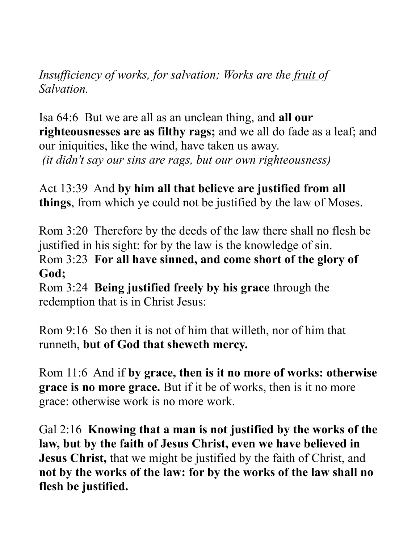*Insufficiency of works, for salvation; Works are the fruit of Salvation.*

Isa 64:6 But we are all as an unclean thing, and **all our righteousnesses are as filthy rags;** and we all do fade as a leaf; and our iniquities, like the wind, have taken us away. *(it didn't say our sins are rags, but our own righteousness)*

Act 13:39 And **by him all that believe are justified from all things**, from which ye could not be justified by the law of Moses.

Rom 3:20 Therefore by the deeds of the law there shall no flesh be justified in his sight: for by the law is the knowledge of sin. Rom 3:23 **For all have sinned, and come short of the glory of God;** 

Rom 3:24 **Being justified freely by his grace** through the redemption that is in Christ Jesus:

Rom 9:16 So then it is not of him that willeth, nor of him that runneth, **but of God that sheweth mercy.** 

Rom 11:6 And if **by grace, then is it no more of works: otherwise grace is no more grace.** But if it be of works, then is it no more grace: otherwise work is no more work.

Gal 2:16 **Knowing that a man is not justified by the works of the law, but by the faith of Jesus Christ, even we have believed in Jesus Christ,** that we might be justified by the faith of Christ, and **not by the works of the law: for by the works of the law shall no flesh be justified.**